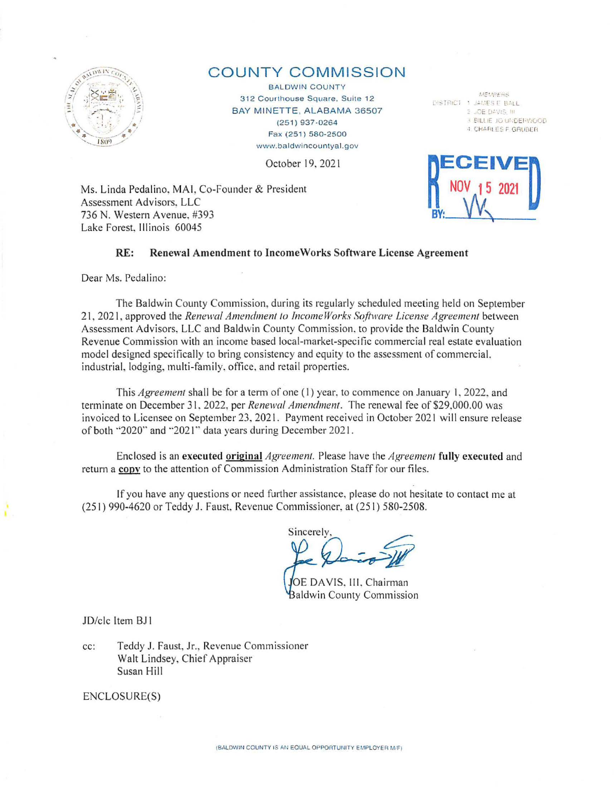

# COUNTY COMMISSION

**BALDWIN COUNTY** 312 Courthouse Square. Suite 12 BAY MINETTE, ALABAMA 36507 (251) 937 ·0264 Fax (251) 580-2500 www.baldwincountyal.gov

October 19, 2021

Ms. Linda Pedalino, MAI, Co-Founder & President Assessment Advisors. LLC 736 N. Western Avenue, #393 Lake Forest, Illinois 60045

MEMPERS DISTRICT 1 JAMES E BALL  $2 - JOE$  (DAVIS, 10) **1 BILLIE JO UNDERWOOD 4. CHAFILES F. GRUBER** 



### RE: Renewal Amendment to lncomeWorks Software License Agreement

Dear Ms. Pcdalino:

The Baldwin County Commission, during its regularly scheduled meeting held on September 21 , 2021 , approved the *Renewal Amendment to Income Works S<?ffware license Agreement* between Assessment Advisors. LLC and Baldwin County Commission. to provide the Baldwin County Revenue Commission with an income based local-market-specific commercial real estate evaluation model designed specifically to bring consistency and equity to the assessment of commercial. industrial. lodging, multi-family. office. and retail properties.

This *Agreement* shall be for a term of one (I) year. to commence on January I. 2022. and terminate on December 31. 2022, per *Renewal Amendment.* The renewal fee of \$29,000.00 was invoiced to Licensee on September 23, 2021. Payment received in October 2021 will ensure release of both "2020" and "2021" data years during December 2021.

Enclosed is an executed *original Agreement*. Please have the *Agreement* fully executed and return a copy to the attention of Commission Administration Staff for our files.

If you have any questions or need further assistance, please do not hesitate to contact me at (251) 990-4620 or Teddy J. Faust. Revenue Commissioner. at (251) 580-2508.

Sincerely,  $\overline{\phantom{a}}$  $\psi$ 

OE DAVIS, III, Chairman **Baldwin County Commission** 

JD/clc Item BJ I

I

cc: Teddy J. Faust, Jr., Revenue Commissioner Walt Lindsey, Chief Appraiser Susan Hill

ENCLOSURE(S)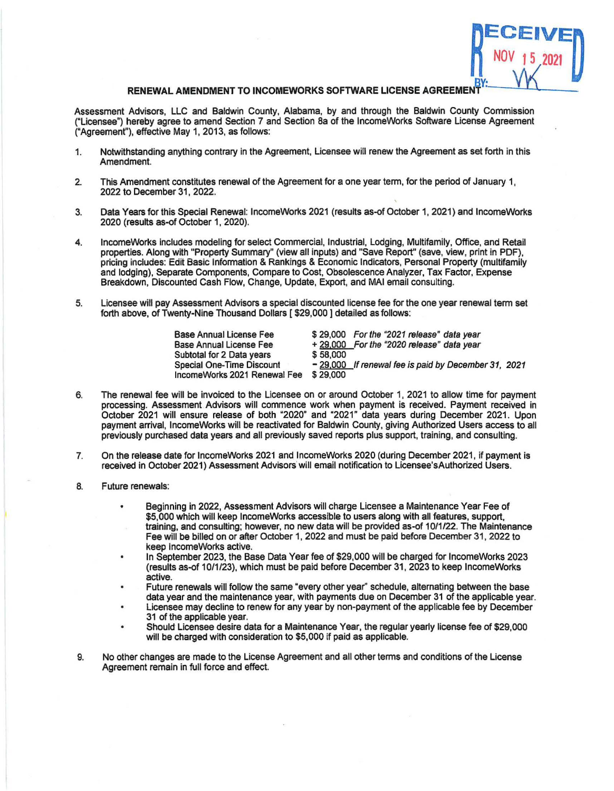

#### **RENEWAL AMENDMENT TO INCOMEWORKS SOFTWARE LICENSE AGREEME**

Assessment Advisors, LLC and Baldwin County, Alabama, by and through the Baldwin County Commission ("Licensee") hereby agree to amend Section 7 and Section Sa of the lncomeWorks Software License Agreement ("Agreement"), effective May 1, 2013, as follows:

- 1. Notwithstanding anything contrary in the Agreement, Licensee will renew the Agreement as set forth in this Amendment.
- 2. This Amendment constitutes renewal of the Agreement for a one year term, for the period of January 1, 2022 to December 31, 2022.
- 3. Data Years for this Special Renewal: lncomeWorks 2021 (results as-of October 1, 2021) and lncomeWorks 2020 (results as-of October 1, 2020).
- 4. lncomeWorks includes modeling for select Commercial, Industrial, Lodging, Multifamily, Office, and Retail properties. Along with "Property Summary" (view all inputs) and "Save Report" (save, view, print in PDF), pricing includes: Edit Basic Information & Rankings & Economic Indicators, Personal Property (multifamily and lodging), Separate Components, Compare to Cost, Obsolescence Analyzer, Tax Factor, Expense Breakdown, Discounted Cash Flow, Change, Update, Export, and MAI email consulting.
- 5. Licensee will pay Assessment Advisors a special discounted license fee for the one year renewal term set forth above, of Twenty-Nine Thousand Dollars [ \$29,000 ) detailed as follows:

| \$29,000 For the "2021 release" data year           |
|-----------------------------------------------------|
| + 29,000 For the "2020 release" data year           |
| \$58,000                                            |
| -29,000 If renewal fee is paid by December 31, 2021 |
| \$29,000                                            |
|                                                     |

- 6. The renewal fee will be invoiced to the Licensee on or around October 1, 2021 to allow time for payment processing. Assessment Advisors will commence work when payment is received. Payment received in October 2021 will ensure release of both "2020" and "2021" data years during December 2021. Upon payment arrival, lncomeWorks will be reactivated for Baldwin County, giving Authorized Users access to all previously purchased data years and all previously saved reports plus support, training, and consulting.
- 7. On the release date for lncomeWorks 2021 and lncomeWorks 2020 (during December 2021, if payment is received in October 2021) Assessment Advisors' will email notification to Licensee'sAuthorized Users.
- 8. Future renewals:
	- Beginning in 2022, Assessment Advisors will charge Licensee a Maintenance Year Fee of  $\bullet$ \$5,000 which will keep lncomeWorks accessible to users along with all features, support, training, and consulting; however, no new data will be provided as-of 10/1/22. The Maintenance Fee will be billed on or after October 1, 2022 and must be paid before December 31 , 2022 to keep lncomeWorks active.
	- In September 2023, the Base Data Year fee of \$29,000 will be charged for lncomeWorks 2023 (results as-of 10/1/23), which must be paid before December 31, 2023 to keep lncomeWorks active.
	- Future renewals will follow the same "every other year" schedule, alternating between the base data year and the maintenance year, with payments due on December 31 of the applicable year.
	- Licensee may decline to renew for any year by non-payment of the applicable fee by December 31 of the applicable year.
	- Should Licensee desire data for a Maintenance Year, the regular yearly license fee of \$29,000 will be charged with consideration to \$5,000 if paid as applicable.
- 9. No other changes are made to the License Agreement and all other terms and conditions of the License Agreement remain in full force and effect.